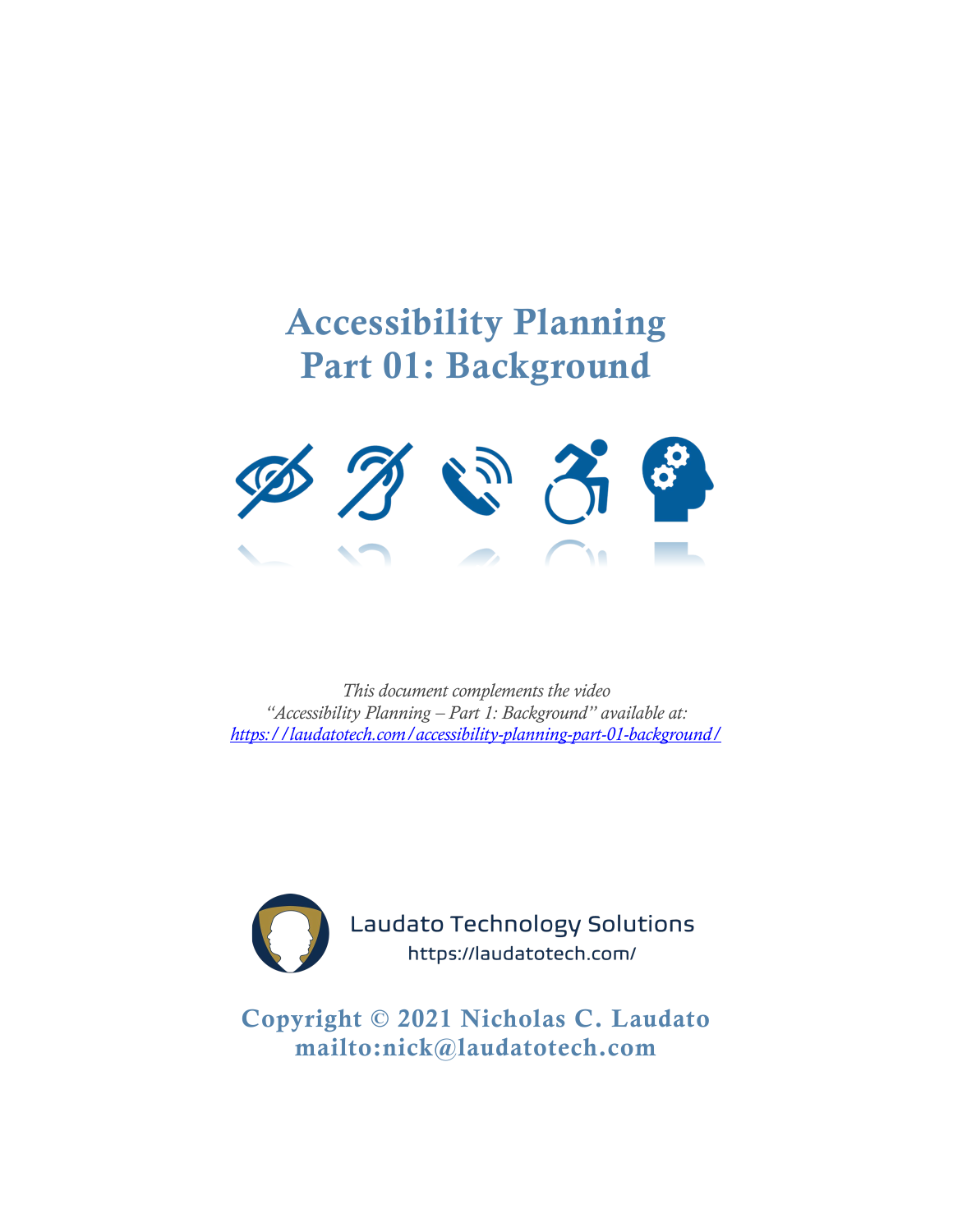# Accessibility Planning Part 01: Background



*This document complements the video "Accessibility Planning – Part 1: Background" available at: <https://laudatotech.com/accessibility-planning-part-01-background/>*



**Laudato Technology Solutions** https://laudatotech.com/

Copyright © 2021 Nicholas C. Laudato <mailto:nick@laudatotech.com>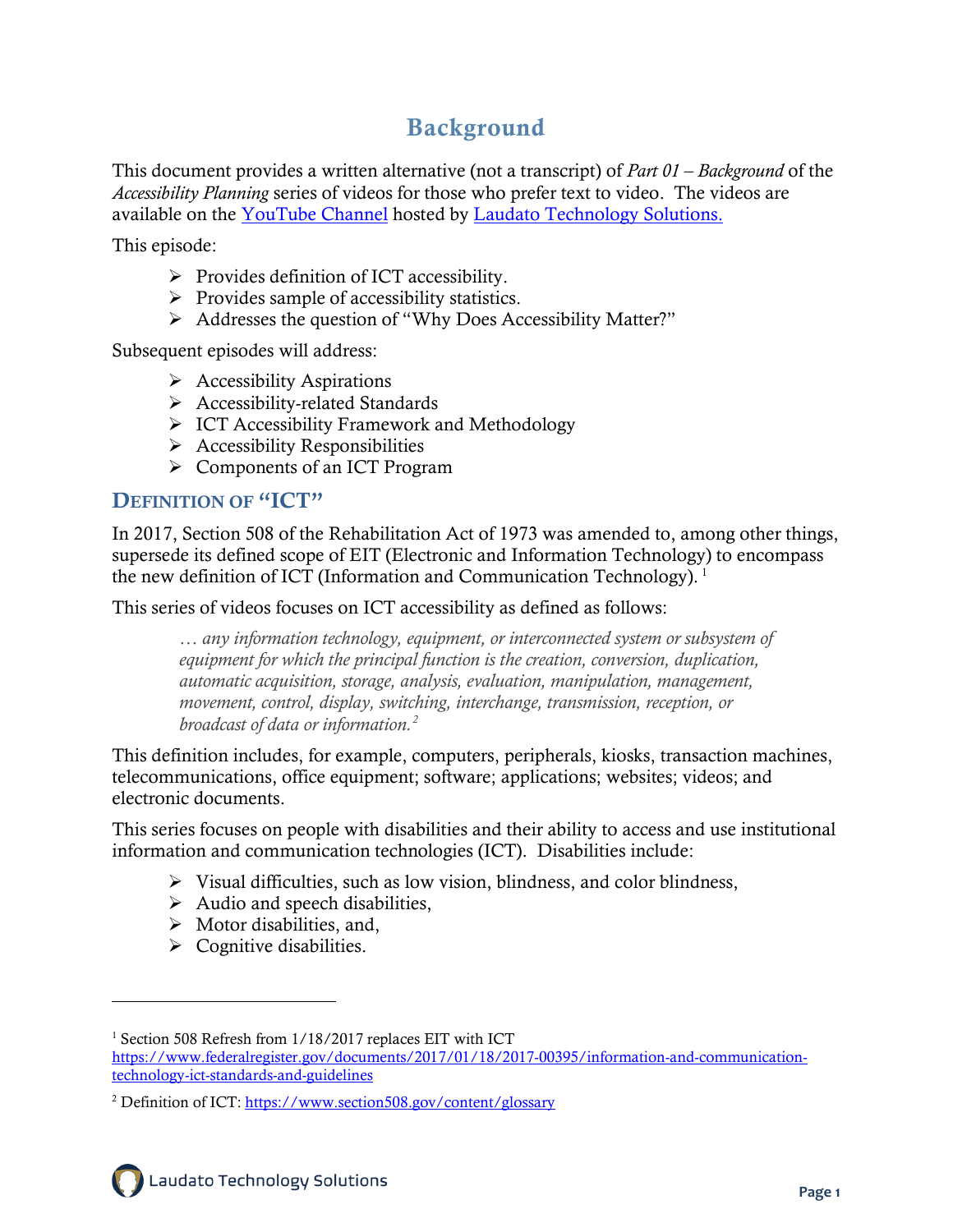# Background

This document provides a written alternative (not a transcript) of *Part 01 – Background* of the *Accessibility Planning* series of videos for those who prefer text to video. The videos are available on the [YouTube Channel](https://www.youtube.com/channel/UCtGSYDoRqtKgxCqP3ZVkahA) hosted by [Laudato Technology Solutions.](https://laudatotech.com/resources/)

This episode:

- $\triangleright$  Provides definition of ICT accessibility.
- $\triangleright$  Provides sample of accessibility statistics.
- Addresses the question of "Why Does Accessibility Matter?"

Subsequent episodes will address:

- $\triangleright$  Accessibility Aspirations
- Accessibility-related Standards
- $\triangleright$  ICT Accessibility Framework and Methodology
- $\triangleright$  Accessibility Responsibilities
- Components of an ICT Program

## DEFINITION OF "ICT"

In 2017, Section 508 of the Rehabilitation Act of 1973 was amended to, among other things, supersede its defined scope of EIT (Electronic and Information Technology) to encompass the new definition of ICT (Information and Communication Technology).<sup>[1](#page-1-0)</sup>

This series of videos focuses on ICT accessibility as defined as follows:

*… any information technology, equipment, or interconnected system or subsystem of equipment for which the principal function is the creation, conversion, duplication, automatic acquisition, storage, analysis, evaluation, manipulation, management, movement, control, display, switching, interchange, transmission, reception, or broadcast of data or information.[2](#page-1-1)*

This definition includes, for example, computers, peripherals, kiosks, transaction machines, telecommunications, office equipment; software; applications; websites; videos; and electronic documents.

This series focuses on people with disabilities and their ability to access and use institutional information and communication technologies (ICT). Disabilities include:

- $\triangleright$  Visual difficulties, such as low vision, blindness, and color blindness,
- $\triangleright$  Audio and speech disabilities,
- $\triangleright$  Motor disabilities, and,
- $\triangleright$  Cognitive disabilities.

<span id="page-1-0"></span><sup>&</sup>lt;sup>1</sup> Section 508 Refresh from 1/18/2017 replaces EIT with ICT [https://www.federalregister.gov/documents/2017/01/18/2017-00395/information-and-communication](https://www.federalregister.gov/documents/2017/01/18/2017-00395/information-and-communication-technology-ict-standards-and-guidelines)[technology-ict-standards-and-guidelines](https://www.federalregister.gov/documents/2017/01/18/2017-00395/information-and-communication-technology-ict-standards-and-guidelines)

<span id="page-1-1"></span><sup>2</sup> Definition of ICT[: https://www.section508.gov/content/glossary](https://www.section508.gov/content/glossary)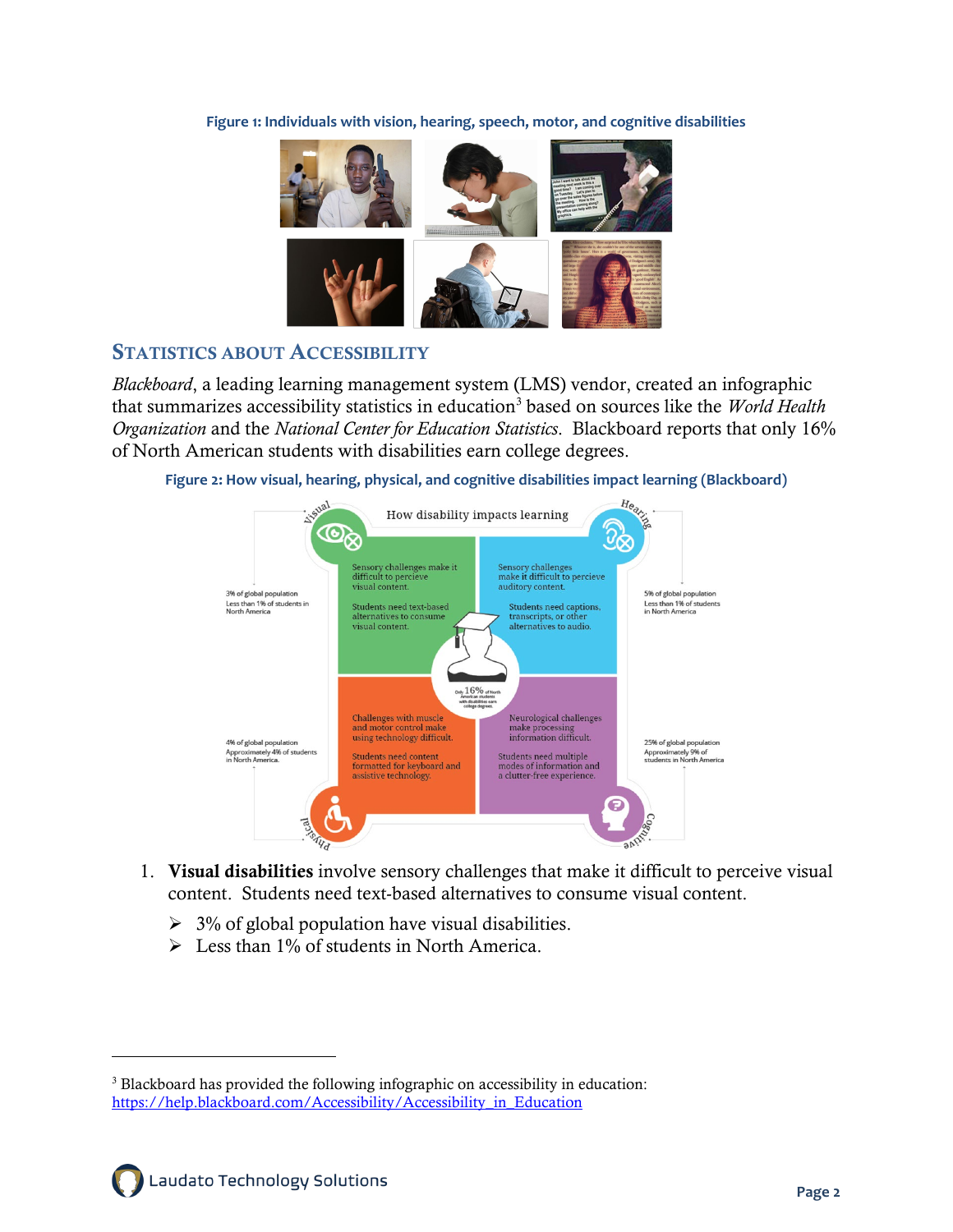**Figure 1: Individuals with vision, hearing, speech, motor, and cognitive disabilities**



#### STATISTICS ABOUT ACCESSIBILITY

*Blackboard*, a leading learning management system (LMS) vendor, created an infographic that summarizes accessibility statistics in education<sup>[3](#page-2-0)</sup> based on sources like the *World Health Organization* and the *National Center for Education Statistics*. Blackboard reports that only 16% of North American students with disabilities earn college degrees.



**Figure 2: How visual, hearing, physical, and cognitive disabilities impact learning (Blackboard)**

- 1. Visual disabilities involve sensory challenges that make it difficult to perceive visual content. Students need text-based alternatives to consume visual content.
	- $\geq$  3% of global population have visual disabilities.
	- $\triangleright$  Less than 1% of students in North America.

<span id="page-2-0"></span><sup>3</sup> Blackboard has provided the following infographic on accessibility in education: https://help.blackboard.com/Accessibility/Accessibility\_in\_Education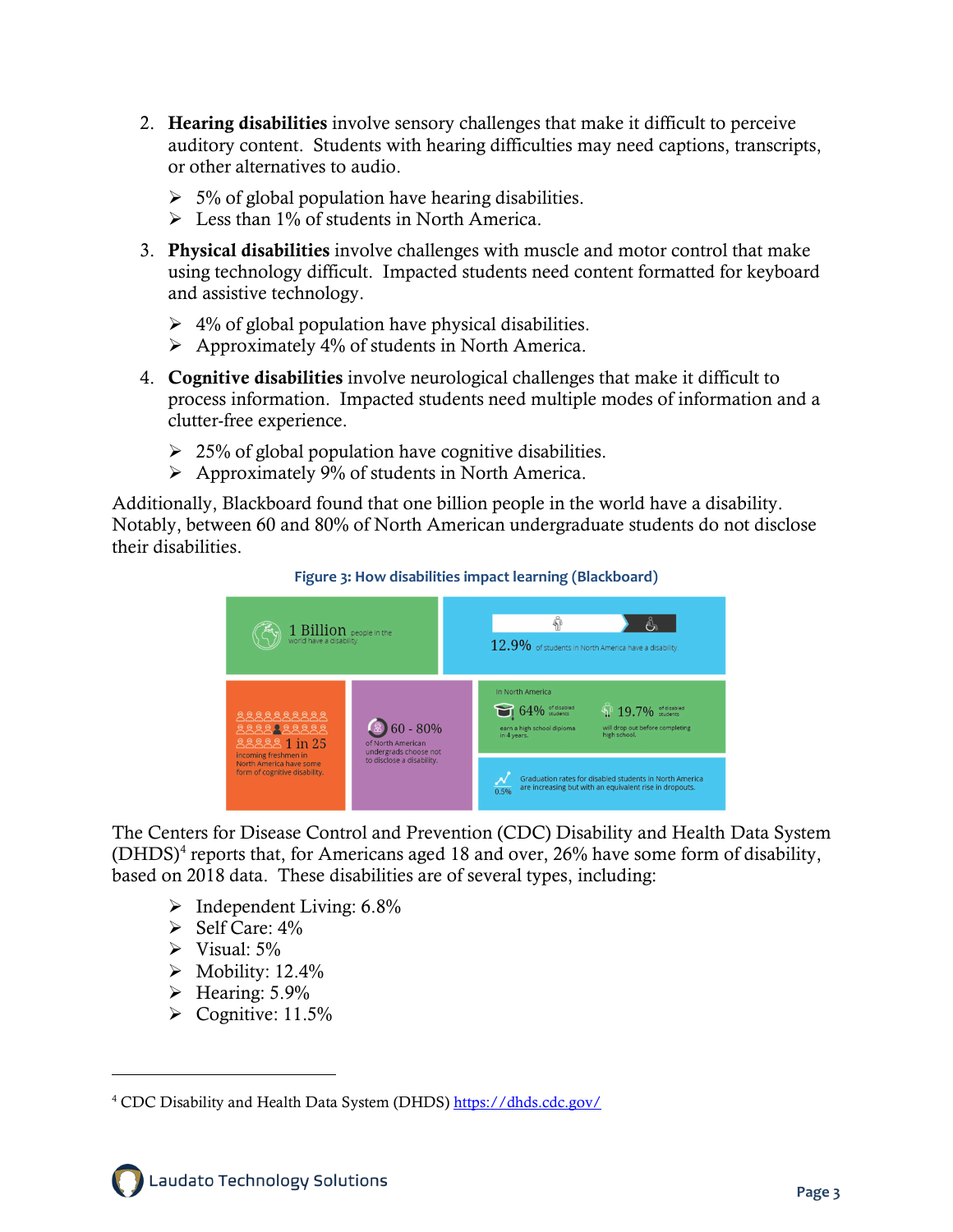- 2. Hearing disabilities involve sensory challenges that make it difficult to perceive auditory content. Students with hearing difficulties may need captions, transcripts, or other alternatives to audio.
	- $\geq 5\%$  of global population have hearing disabilities.
	- $\triangleright$  Less than 1% of students in North America.
- 3. Physical disabilities involve challenges with muscle and motor control that make using technology difficult. Impacted students need content formatted for keyboard and assistive technology.
	- $\geq 4\%$  of global population have physical disabilities.
	- $\triangleright$  Approximately 4% of students in North America.
- 4. Cognitive disabilities involve neurological challenges that make it difficult to process information. Impacted students need multiple modes of information and a clutter-free experience.
	- $\geq$  25% of global population have cognitive disabilities.
	- $\triangleright$  Approximately 9% of students in North America.

Additionally, Blackboard found that one billion people in the world have a disability. Notably, between 60 and 80% of North American undergraduate students do not disclose their disabilities.



#### **Figure 3: How disabilities impact learning (Blackboard)**

The Centers for Disease Control and Prevention (CDC) Disability and Health Data System  $(DHDS)^4$  $(DHDS)^4$  reports that, for Americans aged 18 and over, 26% have some form of disability, based on 2018 data. These disabilities are of several types, including:

- $\triangleright$  Independent Living: 6.8%
- $\triangleright$  Self Care: 4%
- $\triangleright$  Visual: 5%
- $\blacktriangleright$  Mobility: 12.4%
- $\triangleright$  Hearing: 5.9%
- $\triangleright$  Cognitive: 11.5%

<span id="page-3-0"></span><sup>&</sup>lt;sup>4</sup> CDC Disability and Health Data System (DHDS[\) https://dhds.cdc.gov/](https://dhds.cdc.gov/)

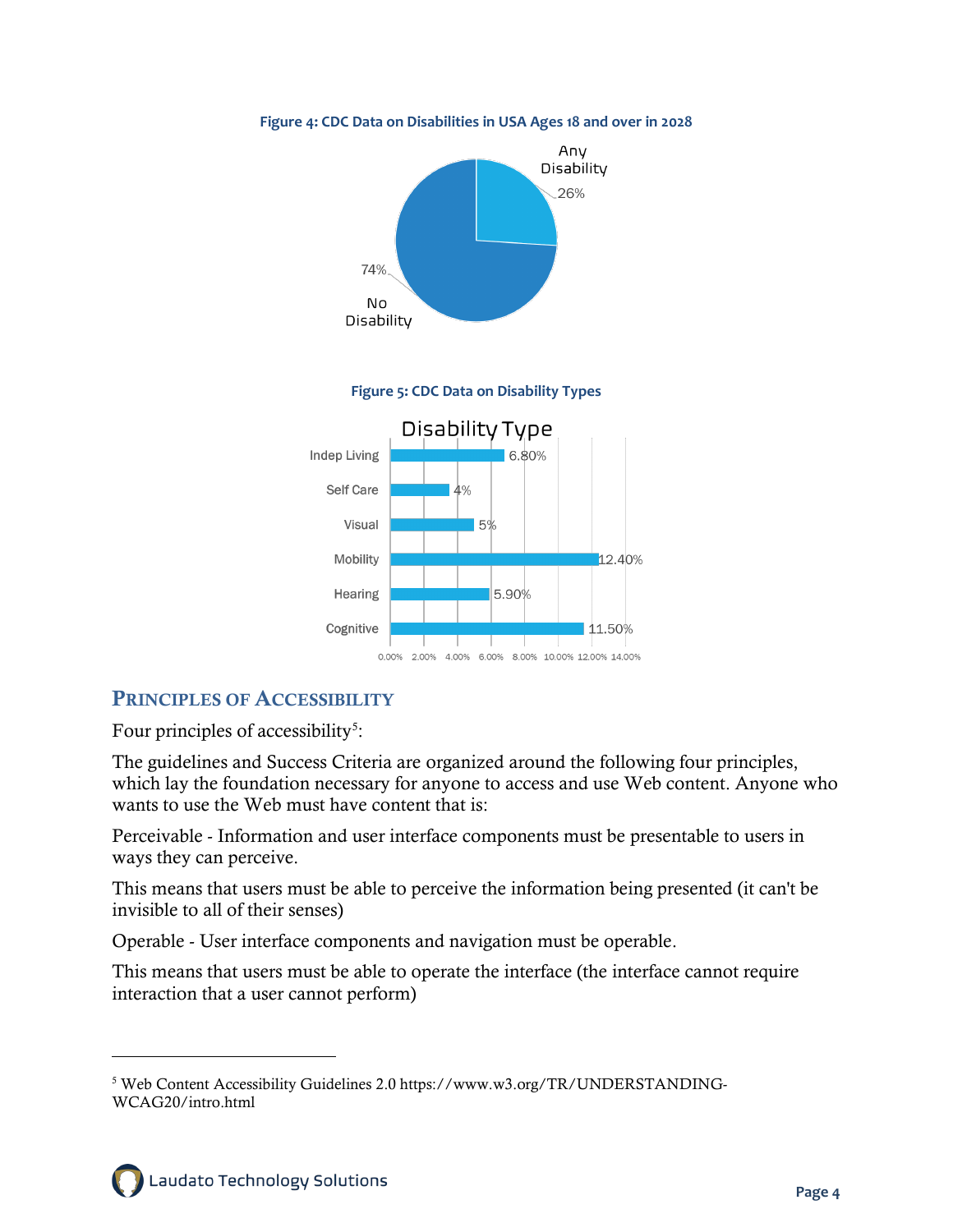

#### **Figure 4: CDC Data on Disabilities in USA Ages 18 and over in 2028**

#### PRINCIPLES OF ACCESSIBILITY

Four principles of accessibility<sup>[5](#page-4-0)</sup>:

The guidelines and Success Criteria are organized around the following four principles, which lay the foundation necessary for anyone to access and use Web content. Anyone who wants to use the Web must have content that is:

Perceivable - Information and user interface components must be presentable to users in ways they can perceive.

This means that users must be able to perceive the information being presented (it can't be invisible to all of their senses)

Operable - User interface components and navigation must be operable.

This means that users must be able to operate the interface (the interface cannot require interaction that a user cannot perform)

<span id="page-4-0"></span><sup>5</sup> Web Content Accessibility Guidelines 2.0 https://www.w3.org/TR/UNDERSTANDING-WCAG20/intro.html